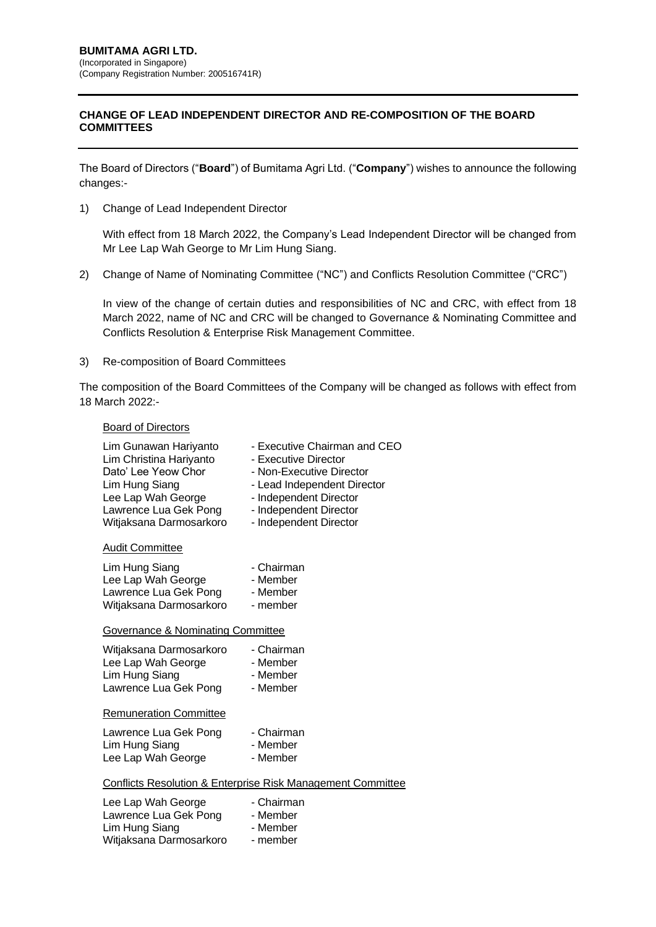## **CHANGE OF LEAD INDEPENDENT DIRECTOR AND RE-COMPOSITION OF THE BOARD COMMITTEES**

The Board of Directors ("**Board**") of Bumitama Agri Ltd. ("**Company**") wishes to announce the following changes:-

1) Change of Lead Independent Director

With effect from 18 March 2022, the Company's Lead Independent Director will be changed from Mr Lee Lap Wah George to Mr Lim Hung Siang.

2) Change of Name of Nominating Committee ("NC") and Conflicts Resolution Committee ("CRC")

In view of the change of certain duties and responsibilities of NC and CRC, with effect from 18 March 2022, name of NC and CRC will be changed to Governance & Nominating Committee and Conflicts Resolution & Enterprise Risk Management Committee.

3) Re-composition of Board Committees

The composition of the Board Committees of the Company will be changed as follows with effect from 18 March 2022:-

## Board of Directors

| Lim Gunawan Hariyanto                                                  | - Executive Chairman and CEO |
|------------------------------------------------------------------------|------------------------------|
| Lim Christina Hariyanto                                                | - Executive Director         |
| Dato' Lee Yeow Chor                                                    | - Non-Executive Director     |
| Lim Hung Siang                                                         | - Lead Independent Director  |
| Lee Lap Wah George                                                     | - Independent Director       |
| Lawrence Lua Gek Pong                                                  | - Independent Director       |
| Witjaksana Darmosarkoro                                                | - Independent Director       |
| <b>Audit Committee</b>                                                 |                              |
| Lim Hung Siang                                                         | - Chairman                   |
| Lee Lap Wah George                                                     | - Member                     |
| Lawrence Lua Gek Pong                                                  | - Member                     |
| Witjaksana Darmosarkoro                                                | - member                     |
| <b>Governance &amp; Nominating Committee</b>                           |                              |
| Witjaksana Darmosarkoro                                                | - Chairman                   |
| Lee Lap Wah George                                                     | - Member                     |
| Lim Hung Siang                                                         | - Member                     |
| Lawrence Lua Gek Pong                                                  | - Member                     |
| <b>Remuneration Committee</b>                                          |                              |
| Lawrence Lua Gek Pong                                                  | - Chairman                   |
| Lim Hung Siang                                                         | - Member                     |
| Lee Lap Wah George                                                     | - Member                     |
| <b>Conflicts Resolution &amp; Enterprise Risk Management Committee</b> |                              |
| Lee Lap Wah George                                                     | - Chairman                   |
| Lawrence Lua Gek Pong                                                  | - Member                     |
| Lim Hung Siang                                                         | - Member                     |
| Witjaksana Darmosarkoro                                                | - member                     |